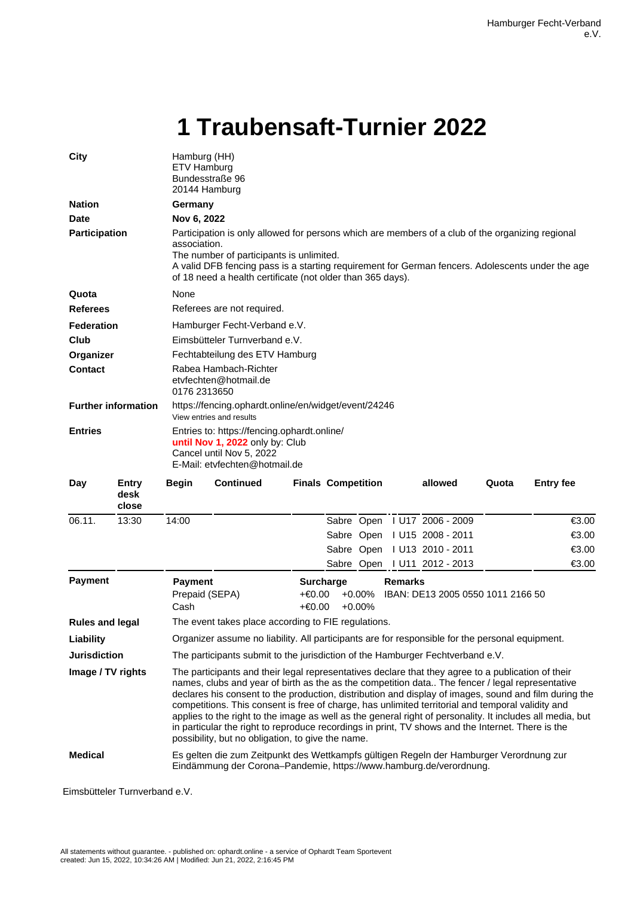## **1 Traubensaft-Turnier 2022**

| City                       |                        | Hamburg (HH)<br>ETV Hamburg<br>Bundesstraße 96<br>20144 Hamburg                                                                                                                                                                                                                                                                                                                                                                                                                                                                                                                                                                                                                            |                  |  |                           |  |  |                              |       |                  |
|----------------------------|------------------------|--------------------------------------------------------------------------------------------------------------------------------------------------------------------------------------------------------------------------------------------------------------------------------------------------------------------------------------------------------------------------------------------------------------------------------------------------------------------------------------------------------------------------------------------------------------------------------------------------------------------------------------------------------------------------------------------|------------------|--|---------------------------|--|--|------------------------------|-------|------------------|
| <b>Nation</b>              |                        | Germany                                                                                                                                                                                                                                                                                                                                                                                                                                                                                                                                                                                                                                                                                    |                  |  |                           |  |  |                              |       |                  |
| <b>Date</b>                |                        | Nov 6, 2022                                                                                                                                                                                                                                                                                                                                                                                                                                                                                                                                                                                                                                                                                |                  |  |                           |  |  |                              |       |                  |
| Participation              |                        | Participation is only allowed for persons which are members of a club of the organizing regional<br>association.<br>The number of participants is unlimited.<br>A valid DFB fencing pass is a starting requirement for German fencers. Adolescents under the age<br>of 18 need a health certificate (not older than 365 days).                                                                                                                                                                                                                                                                                                                                                             |                  |  |                           |  |  |                              |       |                  |
| Quota                      |                        | None                                                                                                                                                                                                                                                                                                                                                                                                                                                                                                                                                                                                                                                                                       |                  |  |                           |  |  |                              |       |                  |
| <b>Referees</b>            |                        | Referees are not required.                                                                                                                                                                                                                                                                                                                                                                                                                                                                                                                                                                                                                                                                 |                  |  |                           |  |  |                              |       |                  |
| <b>Federation</b>          |                        | Hamburger Fecht-Verband e.V.                                                                                                                                                                                                                                                                                                                                                                                                                                                                                                                                                                                                                                                               |                  |  |                           |  |  |                              |       |                  |
| Club                       |                        | Eimsbütteler Turnverband e.V.                                                                                                                                                                                                                                                                                                                                                                                                                                                                                                                                                                                                                                                              |                  |  |                           |  |  |                              |       |                  |
| Organizer                  |                        | Fechtabteilung des ETV Hamburg                                                                                                                                                                                                                                                                                                                                                                                                                                                                                                                                                                                                                                                             |                  |  |                           |  |  |                              |       |                  |
| <b>Contact</b>             |                        | Rabea Hambach-Richter<br>etvfechten@hotmail.de<br>0176 2313650                                                                                                                                                                                                                                                                                                                                                                                                                                                                                                                                                                                                                             |                  |  |                           |  |  |                              |       |                  |
| <b>Further information</b> |                        | https://fencing.ophardt.online/en/widget/event/24246<br>View entries and results                                                                                                                                                                                                                                                                                                                                                                                                                                                                                                                                                                                                           |                  |  |                           |  |  |                              |       |                  |
| <b>Entries</b>             |                        | Entries to: https://fencing.ophardt.online/<br>until Nov 1, 2022 only by: Club<br>Cancel until Nov 5, 2022<br>E-Mail: etyfechten@hotmail.de                                                                                                                                                                                                                                                                                                                                                                                                                                                                                                                                                |                  |  |                           |  |  |                              |       |                  |
| Day                        | Entry<br>desk<br>close | <b>Begin</b>                                                                                                                                                                                                                                                                                                                                                                                                                                                                                                                                                                                                                                                                               | <b>Continued</b> |  | <b>Finals Competition</b> |  |  | allowed                      | Quota | <b>Entry fee</b> |
| 06.11.                     | 13:30                  | 14:00                                                                                                                                                                                                                                                                                                                                                                                                                                                                                                                                                                                                                                                                                      |                  |  |                           |  |  | Sabre Open   U17 2006 - 2009 |       | €3.00            |
|                            |                        |                                                                                                                                                                                                                                                                                                                                                                                                                                                                                                                                                                                                                                                                                            |                  |  |                           |  |  | Sabre Open   U15 2008 - 2011 |       | €3.00            |
|                            |                        |                                                                                                                                                                                                                                                                                                                                                                                                                                                                                                                                                                                                                                                                                            |                  |  |                           |  |  | Sabre Open   U13 2010 - 2011 |       | €3.00            |
|                            |                        |                                                                                                                                                                                                                                                                                                                                                                                                                                                                                                                                                                                                                                                                                            |                  |  |                           |  |  | Sabre Open   U11 2012 - 2013 |       | €3.00            |
| <b>Payment</b>             |                        | <b>Payment</b><br><b>Remarks</b><br><b>Surcharge</b><br>Prepaid (SEPA)<br>+€0.00<br>$+0.00%$<br>IBAN: DE13 2005 0550 1011 2166 50<br>Cash<br>+€0.00<br>$+0.00%$                                                                                                                                                                                                                                                                                                                                                                                                                                                                                                                            |                  |  |                           |  |  |                              |       |                  |
| <b>Rules and legal</b>     |                        | The event takes place according to FIE regulations.                                                                                                                                                                                                                                                                                                                                                                                                                                                                                                                                                                                                                                        |                  |  |                           |  |  |                              |       |                  |
| Liability                  |                        | Organizer assume no liability. All participants are for responsible for the personal equipment.                                                                                                                                                                                                                                                                                                                                                                                                                                                                                                                                                                                            |                  |  |                           |  |  |                              |       |                  |
| <b>Jurisdiction</b>        |                        | The participants submit to the jurisdiction of the Hamburger Fechtverband e.V.                                                                                                                                                                                                                                                                                                                                                                                                                                                                                                                                                                                                             |                  |  |                           |  |  |                              |       |                  |
| Image / TV rights          |                        | The participants and their legal representatives declare that they agree to a publication of their<br>names, clubs and year of birth as the as the competition data The fencer / legal representative<br>declares his consent to the production, distribution and display of images, sound and film during the<br>competitions. This consent is free of charge, has unlimited territorial and temporal validity and<br>applies to the right to the image as well as the general right of personality. It includes all media, but<br>in particular the right to reproduce recordings in print, TV shows and the Internet. There is the<br>possibility, but no obligation, to give the name. |                  |  |                           |  |  |                              |       |                  |
| <b>Medical</b>             |                        | Es gelten die zum Zeitpunkt des Wettkampfs gültigen Regeln der Hamburger Verordnung zur<br>Eindämmung der Corona-Pandemie, https://www.hamburg.de/verordnung.                                                                                                                                                                                                                                                                                                                                                                                                                                                                                                                              |                  |  |                           |  |  |                              |       |                  |

Eimsbütteler Turnverband e.V.